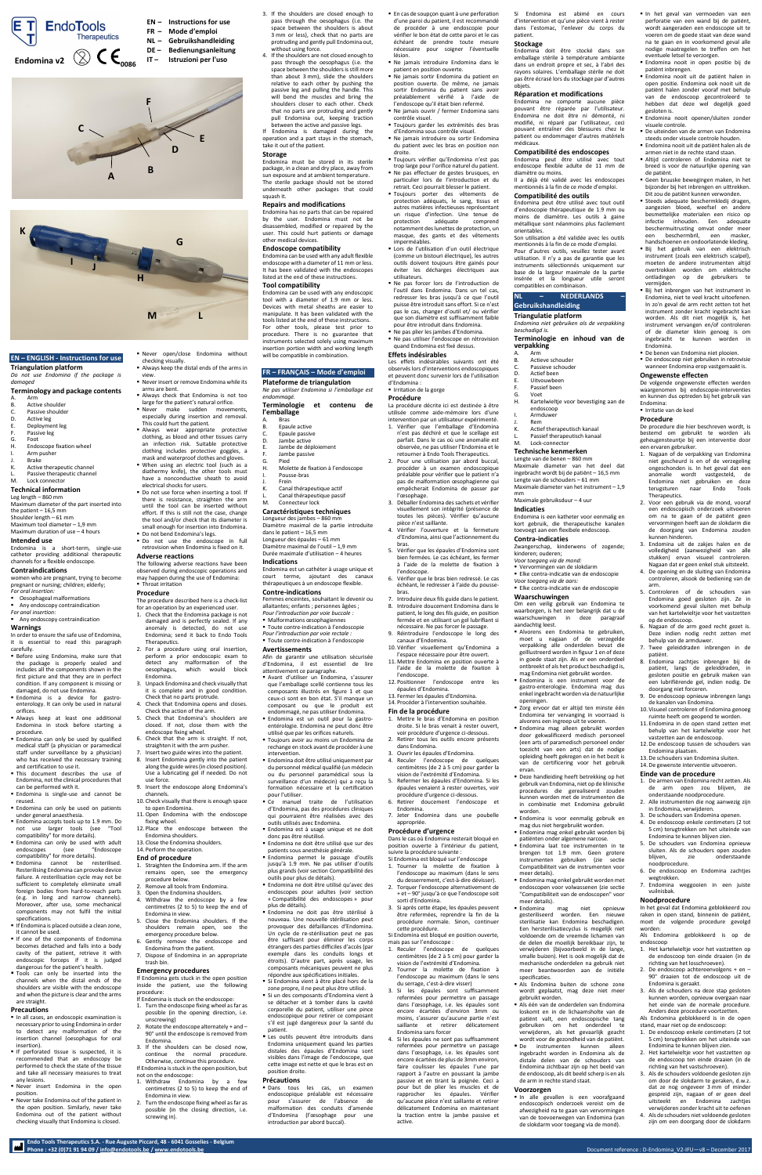**Endo Tools Therapeutics S.A. - Rue Auguste Piccard, 48 - 6041 Gosselies - Belgium**

# **EN – ENGLISH - Instructions for use**

**Triangulation platform**

*Do not use Endomina if the package is damaged*

## **Terminology and package contents**

- A. Arm<br>B. Activ
- Active shoulder
- C. Passive shoulder<br>D. Active leg Active leg
- E. Deployment leg
- 
- F. Passive leg Foot
- H. Endoscope fixation wheel
- Arm pusher
- J. Brake
- K. Active therapeutic channel
- L. Passive therapeutic channel<br>M. Lock connector Lock connector

## **Technical information**

**E** Before using Endomina, make sure that the package is properly sealed and includes all the components shown in the first picture and that they are in perfect condition. If any component is missing or

**E** Never open/close Endomina without

- Leg length 860 mm Maximum diameter of the part inserted into
- the patient  $-16,5$  mm Shoulder length – 61 mm
- Maximum tool diameter 1,9 mm Maximum duration of use – 4 hours
- **Intended use**
- Endomina is a short-term, single-use catheter providing additional therapeutic channels for a flexible endoscope.

# **Contraindications**

women who are pregnant, trying to become pregnant or nursing; children; elderly; *For oral insertion:*

- Oesophageal malformations
- Any endoscopy contraindication
- *For anal insertion:* ■ Any endoscopy contraindication

## **Warnings**

In order to ensure the safe use of Endomina, it is essential to read this paragraph carefully.

- In all cases, an endoscopic examination is necessary prior to using Endomina in order to detect any malformation of the insertion channel (oesophagus for oral insertion).
- **.** If perforated tissue is suspected, it is recommended that an endoscopy be performed to check the state of the tissue and take all necessary measures to treat any lesions.
- Never insert Endomina in the open position.
- Never take Endomina out of the patient in the open position. Similarly, never take Endomina out of the patient without checking visually that Endomina is closed.
- damaged, do not use Endomina. ▪ Endomina is a device for gastroenterology. It can only be used in natural orifices.
- **E** Always keep at least one additional Endomina in stock before starting a procedure.
- **Endomina can only be used by qualified** medical staff (a physician or paramedical staff under surveillance by a physician) who has received the necessary training and certification to use it.
- This document describes the use of Endomina, not the clinical procedures that can be performed with it.
- Endomina is single-use and cannot be reused.
- Endomina can only be used on patients under general anaesthesia. **Endomina accepts tools up to 1.9 mm. Do**
- not use larger tools (see "Tool compatibility" for more details). **Endomina can only be used with adult**
- endoscopes (see "Endoscope compatibility" for more details).
- **Endomina** cannot be resterilised. Resterilising Endomina can provoke device failure. A resterilisation cycle may not be sufficient to completely eliminate small foreign bodies from hard-to-reach parts (e.g. in long and narrow channels). Moreover, after use, some mechanical components may not fulfil the initial specifications.
- **If Endomina is placed outside a clean zone,** it cannot be used.
- **.** If one of the components of Endomina becomes detached and falls into a body cavity of the patient, retrieve it with endoscopic forceps if it is judged dangerous for the patient's health.
- **Tools can only be inserted into the** channels when the distal ends of the shoulders are visible with the endoscope and when the picture is clear and the arms are straight.

The following adverse reactions have been observed during endoscopic operations and may happen during the use of Endomina: **Throat irritation** 

#### **Precautions**

- checking visually. ■ Always keep the distal ends of the arms in view.
- Never insert or remove Endomina while its
- arms are bent. ▪ Always check that Endomina is not too
- large for the patient's natural orifice. **E** Never make sudden movements,
- especially during insertion and removal. This could hurt the patient.
- **Always wear appropriate protective** clothing, as blood and other tissues carry an infection risk. Suitable protective clothing includes protective goggles, a
- mask and waterproof clothes and gloves. ■ When using an electric tool (such as a diathermy knife), the other tools must
- have a nonconductive sheath to avoid electrical shocks for users. ■ Do not use force when inserting a tool. If
- there is resistance, straighten the arm until the tool can be inserted without effort. If this is still not the case, change the tool and/or check that its diameter is small enough for insertion into Endomina.
- **Do not bend Endomina's legs. Do** not use the endoscope in full
- retrovision when Endomina is fixed on it.

## **Adverse reactions**

### **Procedure**

The procedure described here is a check-list for an operation by an experienced user.

- 1. Check that the Endomina package is not damaged and is perfectly sealed. If any anomaly is detected, do not use Endomina; send it back to Endo Tools Therapeutics.
- 2. For a procedure using oral insertion, perform a prior endoscopic exam to detect any malformation of the oesophagus, which would block Endomina.
- 3. Unpack Endomina and check visually that it is complete and in good condition. Check that no parts protrude. 4. Check that Endomina opens and closes. Check the action of the arm.
- 5. Check that Endomina's shoulders are closed. If not, close them with the endoscope fixing wheel.
- 6. Check that the arm is straight. If not, straighten it with the arm pusher.
- 7. Insert two guide wires into the patient. 8. Insert Endomina gently into the patient
- along the guide wires (in closed position). Use a lubricating gel if needed. Do not use force.
- 9. Insert the endoscope along Endomina's channels.
- 10. Check visually that there is enough space to open Endomina.
- 11.Open Endomina with the endoscope fixing wheel. 12. Place the endoscope between the
- Endomina shoulders.
- 13. Close the Endomina shoulders.
- 14. Perform the operation.

#### **End of procedure**

- 1. Straighten the Endomina arm. If the arm remains open, see the emergency procedure below.
- Remove all tools from Endomina.
- Open the Endomina shoulders.
	- 4. Withdraw the endoscope by a few centimetres (2 to 5) to keep the end of Endomina in view.
	- 5. Close the Endomina shoulders. If the shoulders remain open, see the emergency procedure below.
	- 6. Gently remove the endoscope and Endomina from the patient.
- 7. Dispose of Endomina in an appropriate trash bin.

**· Dans** tous les cas, un examen endoscopique préalable est nécessaire pour s'assurer de l'absence de malformation des conduits d'amenée d'Endomina (l'œsophage pour une introduction par abord buccal).

Phone : +32 (0)71 91 94 09 / <u>info@endotools.be [/ www.endotools.be](http://www.endotools.be/)</u> Document reference : D-Endomina\_V2-IFU—v8 – December 2017<br>Phone : +32 (0)71 91 94 09 / <u>info@endotools.be / www.endotools.be</u>

■ En cas de soupcon quant à une perforation d'une paroi du patient, il est recommandé de procéder à une endoscopie pour vérifier le bon état de cette paroi et le cas échéant de prendre toute mesure nécessaire pour soigner l'éventuelle lésion.

#### **Emergency procedures**

If Endomina gets stuck in the open position inside the patient, use the following procedure: If Endomina is stuck on the endoscope:

- 1. Turn the endoscope fixing wheel as far as possible (in the opening direction, i.e.
- unscrewing) 2. Rotate the endoscope alternately + and –
- 90° until the endoscope is removed from Endomina.
- 3. If the shoulders can be closed now, continue the normal procedure. Otherwise, continue this procedure. If Endomina is stuck in the open position, but not on the endoscope:
- 1. Withdraw Endomina by a few centimetres (2 to 5) to keep the end of Endomina in view.
- 2. Turn the endoscope fixing wheel as far as possible (in the closing direction, i.e. screwing in).

Ne pas forcer lors de l'introduction de l'outil dans Endomina. Dans un tel cas, redresser les bras jusqu'à ce que l'outil puisse être introduit sans effort. Si ce n'est pas le cas, changer d'outil et/ ou vérifier que son diamètre est suffisamment faible pour être introduit dans Endomina. Ne pas plier les jambes d'Endomina. ▪ Ne pas utiliser l'endoscope en rétrovision quand Endomina est fixé dessus.

- 3. If the shoulders are closed enough to pass through the oesophagus (i.e. the space between the shoulders is about 3 mm or less), check that no parts are protruding and gently pull Endomina out, without using force.
- 4. If the shoulders are not closed enough to pass through the oesophagus (i.e. the space between the shoulders is still more than about 3 mm), slide the shoulders relative to each other by pushing the passive leg and pulling the handle. This will bend the muscles and bring the shoulders closer to each other. Check that no parts are protruding and gently pull Endomina out, keeping traction between the active and passive legs.

If Endomina is damaged during the operation and a part stays in the stomach, take it out of the patient.

### **Storage**

Endomina must be stored in its sterile package, in a clean and dry place, away from sun exposure and at ambient temperature. The sterile package should not be stored underneath other packages that could squash it.

## **Repairs and modifications**

Endomina has no parts that can be repaired by the user. Endomina must not be disassembled, modified or repaired by the user. This could hurt patients or damage other medical devices.

### **Endoscope compatibility**

Endomina can be used with any adult flexible endoscope with a diameter of 11 mm or less. It has been validated with the endoscopes listed at the end of these instructions.

## **Tool compatibility**

Endomina can be used with any endoscopic tool with a diameter of 1.9 mm or less. Devices with metal sheaths are easier to manipulate. It has been validated with the tools listed at the end of these instructions. For other tools, please test prior to procedure. There is no guarantee that instruments selected solely using maximum insertion portion width and working length will be compatible in combination.

## **FR – FRANÇAIS – Mode d'emploi**

# **Plateforme de triangulation**

*Ne pas utiliser Endomina si l'emballage est endommagé.* **Terminologie et contenu de** 

| <b>Terminologie</b> | eт | contenu | ae |
|---------------------|----|---------|----|
| l'emballage         |    |         |    |
|                     |    |         |    |

- **Bras** B. Epaule active
- C. Epaule passive
- D. Jambe active
- E. Jambe de déploiement
- F. Jambe passive
- G. Pied
- H. Molette de fixation à l'endoscope Pousse-bras
- **Frein**
- Canal thérapeutique actif
- L. Canal thérapeutique passif<br>M. Connecteur lock
- Connecteur lock

## **Caractéristiques techniques**

Longueur des jambes – 860 mm Diamètre maximal de la partie introduite

dans le patient – 16,5 mm

Longueur des épaules – 61 mm Diamètre maximal de l'outil – 1,9 mm

Durée maximale d'utilisation – 4 heures **Indications**

Endomina est un cathéter à usage unique et court terme, ajoutant des canaux thérapeutiques à un endoscope flexible.

## **Contre-indications**

- Femmes enceintes, souhaitant le devenir ou allaitantes; enfants ; personnes âgées ; *Pour l'introduction par voie buccale :*
- Malformations œsophagiennes
- Toute contre-indication à l'endoscopie *Pour l'introduction par voie rectale :*

endoscoop I. Armduwer Rem

K. Actief therapeutisch kanaal Passief therapeutisch kanaal

# ▪ Toute contre-indication à l'endoscopie

- **Avertissements** Afin de garantir une utilisation sécurisée d'Endomina, il est essentiel de lire attentivement ce paragraphe.
- Avant d'utiliser un Endomina, s'assurer que l'emballage scellé contienne tous les

kinderen; ouderen; *Voor toegang via de mond:* ▪ Vervormingen van de slokdarm ■ Elke contra-indicatie van de endoscopie

Om een veilig gebruik van Endomina te waarborgen, is het zeer belangrijk dat u de<br>waarschuwingen in deze paragraaf

- composants illustrés en figure 1 et que ceux-ci sont en bon état. S'il manque un composant ou que le produit est endommagé, ne pas utiliser Endomina.
- Endomina est un outil pour la gastroentérologie. Endomina ne peut donc être utilisé que par les orifices naturels.
- Toujours avoir au moins un Endomina de rechange en stock avant de procéder à une intervention.
- Endomina doit être utilisé uniquement par du personnel médical qualifié (un médecin ou du personnel paramédical sous la surveillance d'un médecin) qui a reçu la formation nécessaire et la certification pour l'utiliser.
- Ce manuel traite de l'utilisation d'Endomina, pas des procédures cliniques qui pourraient être réalisées avec des outils utilisés avec Endomina.
- Endomina est à usage unique et ne doit donc pas être réutilisé.
- Endomina ne doit être utilisé que sur des patients sous anesthésie générale.
- Endomina permet le passage d'outils jusqu'à 1.9 mm. Ne pas utiliser d'outils plus grands (voir sectio[n Compatibilité des](#page-0-0)  [outils](#page-0-0) pour plus de détails).
- Endomina ne doit être utilisé qu'avec des endoscopes pour adultes (voir section « [Compatibilité des endoscopes](#page-0-1) » pour plus de détails).
- Endomina ne doit pas être stérilisé à nouveau. Une nouvelle stérilisation peut provoquer des défaillances d'Endomina. Un cycle de re-stérilisation peut ne pas être suffisant pour éliminer les corps étrangers des parties difficiles d'accès (par exemple dans les conduits longs et étroits). D'autre part, après usage, les composants mécaniques peuvent ne plus répondre aux spécifications initiales.
- Si Endomina vient à être placé hors de la zone propre, il ne peut plus être utilisé.
- Si un des composants d'Endomina vient à se détacher et à tomber dans la cavité corporelle du patient, utiliser une pince endoscopique pour retirer ce composant s'il est jugé dangereux pour la santé du patient.
- **E** Les outils peuvent être introduits dans Endomina uniquement quand les parties distales des épaules d'Endomina sont visibles dans l'image de l'endoscope, que cette image est nette et que le bras est en position droite.

#### **Précautions**

**De benen van Endomina niet plooien.** ■ De endoscoop niet gebruiken in retrovisie wanneer Endomina erop vastgemaakt is.

5. Controleren of de schouders van Endomina goed gesloten zijn. Ze in voorkomend geval sluiten met behulp van het kartelwieltie voor het vastzetten

- Ne jamais introduire Endomina dans le patient en position ouverte.
- Ne jamais sortir Endomina du patient en position ouverte. De même, ne jamais sortir Endomina du patient sans avoir préalablement vérifié à l'aide de l'endoscope qu'il était bien refermé.
- Ne jamais ouvrir / fermer Endomina sans contrôle visuel.
- Toujours garder les extrémités des bras d'Endomina sous contrôle visuel.
- Ne jamais introduire ou sortir Endomina du patient avec les bras en position non droite.
- Toujours vérifier qu'Endomina n'est pas trop large pour l'orifice naturel du patient. ▪ Ne pas effectuer de gestes brusques, en particulier lors de l'introduction et du
- retrait. Ceci pourrait blesser le patient. ▪ Toujours porter des vêtements de
- protection adéquats, le sang, tissus et autres matières infectieuses représentant un risque d'infection. Une tenue de protection adéquate comprend notamment des lunettes de protection, un masque, des gants et des vêtements imperméables.
- **E** Lors de l'utilisation d'un outil électrique (comme un bistouri électrique), les autres outils doivent toujours être gainés pour éviter les décharges électriques aux utilisateurs.

1. Het kartelwieltie voor het vastzetten op de endoscoop ten einde draaien (in de richting van het losschroeven). 2. De endoscoop achtereenvolgens + en – 90° draaien tot de endoscoop uit de

**Effets indésirables**

Les effets indésirables suivants ont été observés lors d'interventions endoscopiques et peuvent donc survenir lors de l'utilisation

d'Endomina : **·** Irritation de la gorge **Procédure**

La procédure décrite ici est destinée à être utilisée comme aide-mémoire lors d'une intervention par un utilisateur expérimenté. 1. Vérifier que l'emballage d'Endomina n'est pas déchiré et que le scellage est parfait. Dans le cas où une anomalie est observée, ne pas utiliser l'Endomina et le retourner à Endo Tools Therapeutics. 2. Pour une utilisation par abord buccal, procéder à un examen endoscopique préalable pour vérifier que le patient n'a pas de malformation œsophagienne qui empêcherait Endomina de passer par

l'œsophage.

3. Déballer Endomina des sachets et vérifier visuellement son intégrité (présence de toutes les pièces). Vérifier qu'aucune

pièce n'est saillante.

4. Vérifier l'ouverture et la fermeture d'Endomina, ainsi que l'actionnement du

bras.

5. Vérifier que les épaules d'Endomina sont bien fermées. Le cas échéant, les fermer à l'aide de la molette de fixation à

l'endoscope.

6. Vérifier que le bras bien redressé. Le cas échéant, le redresser à l'aide du pousse-

bras.

7. Introduire deux fils guide dans le patient. 8. Introduire doucement Endomina dans le patient, le long des fils guide, en position fermée et en utilisant un gel lubrifiant si nécessaire. Ne pas forcer le passage. 9. Réintroduire l'endoscope le long des

canaux d'Endomina.

10. Vérifier visuellement qu'Endomina a l'espace nécessaire pour être ouvert. 11. Mettre Endomina en position ouverte à l'aide de la molette de fixation à

l'endoscope.

12. Positionner l'endoscope entre les

13. Fermer les épaules d'Endomina. 14. Procéder à l'intervention souhaitée.

#### **Fin de la procédure**

épaules d'Endomin

- 1. Mettre le bras d'Endomina en position droite. Si le bras venait à rester ouvert, voir procédure d'urgence ci-dessous. 2. Retirer tous les outils encore présents
- dans Endomina.
- 3. Ouvrir les épaules d'Endomina.
- 4. Reculer l'endoscope de quelques centimètres (de 2 à 5 cm) pour garder la vision de l'extrémité d'Endomina. 5. Refermer les épaules d'Endomina. Si les épaules venaient à rester ouvertes, voir
- procédure d'urgence ci-dessous. 6. Retirer doucement l'endoscope et
- Endomina. 7. Jeter Endomina dans une poubelle
- appropriée.

#### **Procédure d'urgence** Dans le cas où Endomina resterait bloqué en

position ouverte à l'intérieur du patient, suivre la procédure suivante :

Si Endomina est bloqué sur l'endoscope

- 1. Tourner la molette de fixation à l'endoscope au maximum (dans le sens du desserrement, c'est-à-dire dévisser).
- 2. Torquer l'endoscope alternativement de + et – 90° jusqu'à ce que l'endoscope soit sorti d'Endomina.
- 3. Si après cette étape, les épaules peuvent être refermées, reprendre la fin de la procédure normale. Sinon, continuer cette procédure.

Si Endomina est bloqué en position ouverte, mais pas sur l'endoscope :

- 1. Reculer l'endoscope de quelques centimètres (de 2 à 5 cm) pour garder la vision de l'extrémité d'Endomina.
- 2. Tourner la molette de fixation à l'endoscope au maximum (dans le sens du serrage, c'est-à-dire visser)
- 3. Si les épaules sont suffisamment refermées pour permettre un passage dans l'œsophage, i.e. les épaules sont encore écartées d'environ 3mm ou moins, s'assurer qu'aucune partie n'est saillante et retirer délicatement Endomina sans forcer
- 4. Si les épaules ne sont pas suffisamment refermées pour permettre un passage dans l'œsophage, i.e. les épaules sont encore écartées de plus de 3mm environ, faire coulisser les épaules l'une par rapport à l'autre en poussant la jambe passive et en tirant la poignée. Ceci a pour but de plier les muscles et de rapprocher les épaules. Vérifier qu'aucune pièce n'est saillante et retirer délicatement Endomina en maintenant la traction entre la jambe passive et active.

Si Endomina est abimé en cours d'intervention et qu'une pièce vient à rester dans l'estomac, l'enlever du corps du

patient. **Stockage**

Endomina doit être stocké dans son emballage stérile à température ambiante dans un endroit propre et sec, à l'abri des rayons solaires. L'emballage stérile ne doit pas être écrasé lors du stockage par d'autres

objets.

**Réparation et modifications** Endomina ne comporte aucune pièce pouvant être réparée par l'utilisateur. Endomina ne doit être ni démonté, ni modifié, ni réparé par l'utilisateur, ceci pouvant entraîner des blessures chez le patient ou endommager d'autres matériels

médicaux.

<span id="page-0-1"></span>**Compatibilité des endoscopes** Endomina peut être utilisé avec tout endoscope flexible adulte de 11 mm de

diamètre ou moins.

Il a déjà été validé avec les endoscopes mentionnés à la fin de ce mode d'emploi.

<span id="page-0-0"></span>**Compatibilité des outils**

Endomina peut être utilisé avec tout outil d'endoscopie thérapeutique de 1.9 mm ou moins de diamètre. Les outils à gaine métallique sont néanmoins plus facilement

orientables.

Son utilisation a été validée avec les outils mentionnés à la fin de ce mode d'emploi. Pour d'autres outils, veuillez tester avant utilisation. Il n'y a pas de garantie que les instruments sélectionnés uniquement sur base de la largeur maximale de la partie insérée et la longueur utile seront

compatibles en combinaison. **NL – NEDERLANDS – Gebruikshandleiding Triangulatie platform**

*Endomina niet gebruiken als de verpakking* 

*beschadigd is.*

**Terminologie en inhoud van de** 

**verpakking** A<sub>rm</sub> B. Actieve schouder C. Passieve schouder<br>D. Actief been D. Actief been<br>E Llitvouwhee E. Uitvouwbeen F. Passief been G. Voet

H. Kartelwieltje voor bevestiging aan de

M. Lock-connector **Technische kenmerken** Lengte van de benen – 860 mm

Maximale diameter van het deel dat ingebracht wordt bij de patiënt – 16,5 mm Lengte van de schouders – 61 mm Maximale diameter van het instrument – 1,9

mm

Maximale gebruiksduur – 4 uur

**Indicaties**

Endomina is een katheter voor eenmalig en kort gebruik, die therapeutische kanalen toevoegt aan een flexibele endoscoop.

**Contra-indicaties**

Zwangerschap, kinderwens of zogende;

**Elke contra-indicatie van de endoscopie** 

*Voor toegang via de aars:*

**Waarschuwingen**

aandachtig leest.

▪ Alvorens een Endomina te gebruiken, moet u nagaan of de verzegelde verpakking alle onderdelen bevat die geïllustreerd worden in figuur 1 en of deze in goede staat zijn. Als er een onderdeel ontbreekt of als het product beschadigd is, mag Endomina niet gebruikt worden. ▪ Endomina is een instrument voor de

in deze paragraaf

- gastro-enterologie. Endomina mag dus enkel ingebracht worden via de natuurlijke openingen.
- Zorg ervoor dat er altijd ten minste één Endomina ter vervanging in voorraad is alvorens een ingreep uit te voeren.
- **Endomina mag alleen gebruikt worden** door gekwalificeerd medisch personeel (een arts of paramedisch personeel onder toezicht van een arts) dat de nodige opleiding heeft gekregen en in het bezit is van de certificering voor het gebruik
	- ervan. ■ Deze handleiding heeft betrekking op het gebruik van Endomina, niet op de klinische procedures die gerealiseerd zouden kunnen worden met de instrumenten die in combinatie met Endomina gebruikt worden.
	- Endomina is voor eenmalig gebruik en mag dus niet hergebruikt worden.
	- Endomina mag enkel gebruikt worden bij patiënten onder algemene narcose.
	- Endomina laat toe instrumenten in te brengen tot 1.9 mm. Geen grotere instrumenten gebruiken (zie sectie Compatibiliteit van de instrumenten voor meer details).
	- Endomina mag enkel gebruikt worden met endoscopen voor volwassenen (zie sectie "Compatibiliteit van de endoscopen" voor meer details).
	- Endomina mag niet opnieuw gesteriliseerd worden. Een nieuwe sterilisatie kan Endomina beschadigen. Een hersterilisatiecyclus is mogelijk niet voldoende om de vreemde lichamen van de delen die moeilijk bereikbaar zijn, te verwijderen (bijvoorbeeld in de lange, smalle buizen). Het is ook mogelijk dat de mechanische onderdelen na gebruik niet meer beantwoorden aan de initiële specificaties.
	- Als Endomina buiten de schone zone wordt geplaatst, mag deze niet meer gebruikt worden.
	- Als één van de onderdelen van Endomina loskomt en in de lichaamsholte van de patiënt valt, een endoscopische tang gebruiken om het onderdeel te verwijderen, als het gevaarlijk geacht wordt voor de gezondheid van de patiënt.
	- De instrumenten kunnen alleen ingebracht worden in Endomina als de distale delen van de schouders van Endomina zichtbaar zijn op het beeld van de endoscoop, als dit beeld scherp is en als de arm in rechte stand staat.

#### **Voorzorgen**

▪ In alle gevallen is een voorafgaand endoscopisch onderzoek vereist om de afwezigheid na te gaan van vervormingen van de toevoerwegen van Endomina (van de slokdarm voor toegang via de mond).

▪ In het geval van vermoeden van een perforatie van een wand bij de patiënt, wordt aangeraden een endoscopie uit te voeren om de goede staat van deze wand na te gaan en in voorkomend geval alle nodige maatregelen te treffen om het

eventuele letsel te verzorgen. ▪ Endomina nooit in open positie bij de

patiënt inbrengen.

▪ Endomina nooit uit de patiënt halen in open positie. Endomina ook nooit uit de patiënt halen zonder vooraf met behulp van de endoscoop gecontroleerd te hebben dat deze wel degelijk goed

**Endomina nooit openen/sluiten zonder** 

gesloten is.

visuele controle.

▪ De uiteinden van de armen van Endomina steeds onder visuele controle houden. ■ Endomina nooit uit de patiënt halen als de armen niet in de rechte stand staan. ▪ Altijd controleren of Endomina niet te breed is voor de natuurlijke opening van

de patiënt.

▪ Geen bruuske bewegingen maken, in het bijzonder bij het inbrengen en uittrekken. Dit zou de patiënt kunnen verwonden. ▪ Steeds adequate beschermkledij dragen, aangezien bloed, weefsel en andere besmettelijke materialen een risico op infectie inhouden. Een adequate beschermuitrusting omvat onder meer een beschermbril, een masker, handschoenen en ondoorlatende kleding. ▪ Bij het gebruik van een elektrisch instrument (zoals een elektrisch scalpel). moeten de andere instrumenten altijd overtrokken worden om elektrische ontladingen op de gebruikers te

vermijden.

▪ Bij het inbrengen van het instrument in Endomina, niet te veel kracht uitoefenen. In zo'n geval de arm recht zetten tot het instrument zonder kracht ingebracht kan worden. Als dit niet mogelijk is, het instrument vervangen en/of controleren of de diameter klein genoeg is om ingebracht te kunnen worden in

Endomina.

**Ongewenste effecten**

De volgende ongewenste effecten werden waargenomen bij endoscopie-interventies en kunnen dus optreden bij het gebruik van

Endomina:

▪ Irritatie van de keel **Procedure**

De procedure die hier beschreven wordt, is bestemd om gebruikt te worden als geheugensteuntje bij een interventie door

een ervaren gebruiker.

1. Nagaan of de verpakking van Endomina niet gescheurd is en of de verzegeling ongeschonden is. In het geval dat een anomalie wordt vastgesteld, de Endomina niet gebruiken en deze terugsturen naar Endo Tools

Therapeutics.

2. Voor een gebruik via de mond, vooraf een endoscopisch onderzoek uitvoeren om na te gaan of de patiënt geen vervormingen heeft aan de slokdarm die de doorgang van Endomina zouden

kunnen hinderen.

3. Endomina uit de zakjes halen en de volledigheid (aanwezigheid van alle stukken) ervan visueel controleren. Nagaan dat er geen enkel stuk uitsteekt. 4. De opening en de sluiting van Endomina controleren, alsook de bediening van de

arm.

op de endoscoop.

6. Nagaan of de arm goed recht gezet is. Deze indien nodig recht zetten met

behulp van de armduwer.

7. Twee geleiddraden inbrengen in de

patiënt.

8. Endomina zachtjes inbrengen bij de patiënt, langs de geleiddraden, in gesloten positie en gebruik maken van een lubrifiërende gel, indien nodig. De

doorgang niet forceren.

- 9. De endoscoop opnieuw inbrengen langs de kanalen van Endomina.
- 10. Visueel controleren of Endomina genoeg ruimte heeft om geopend te worden.
- 11. Endomina in de open stand zetten met behulp van het kartelwieltje voor het vastzetten aan de endoscoop.
- 12.De endoscoop tussen de schouders van Endomina plaatsen.
- 13.De schouders van Endomina sluiten.
- 14.De gewenste interventie uitvoeren. **Einde van de procedure**

1. De armen van Endomina recht zetten. Als de arm open zou blijven, zie onderstaande noodprocedure. 2. Alle instrumenten die nog aanwezig zijn

in Endomina, verwijderen. 3. De schouders van Endomina openen. 4. De endoscoop enkele centimeters (2 tot 5 cm) terugtrekken om het uiteinde van Endomina te kunnen blijven zien. 5. De schouders van Endomina opnieuw sluiten. Als de schouders open zouden blijven, zie onderstaande

noodprocedure.

6. De endoscoop en Endomina zachtjes

wegtrekken.

7. Endomina weggooien in een juiste

vuilnisbak. **Noodprocedure**

In het geval dat Endomina geblokkeerd zou raken in open stand, binnenin de patiënt, moet de volgende procedure gevolgd

worden:

Als Endomina geblokkeerd is op de

endoscoop

Endomina is geraakt.

3. Als de schouders na deze stap gesloten kunnen worden, opnieuw overgaan naar het einde van de normale procedure. Anders deze procedure voortzetten. Als Endomina geblokkeerd is in de open stand, maar niet op de endoscoop: 1. De endoscoop enkele centimeters (2 tot 5 cm) terugtrekken om het uiteinde van Endomina te kunnen blijven zien. 2. Het kartelwieltje voor het vastzetten op de endoscoop ten einde draaien (in de richting van het vastschroeven). 3. Als de schouders voldoende gesloten zijn om door de slokdarm te geraken, d.w.z. dat ze nog ongeveer 3 mm of minder gespreid zijn, nagaan of er geen deel uitsteekt en Endomina zachtjes verwijderen zonder kracht uit te oefenen 4. Als de schouders niet voldoende gesloten zijn om een doorgang door de slokdarm

|             | <b>EndoTools</b><br><b>Therapeutics</b> |
|-------------|-----------------------------------------|
| Endomina v2 |                                         |

**EN – Instructions for use FR – Mode d'emploi NL – Gebruikshandleiding DE – Bedienungsanleitung IT – Istruzioni per l'uso <sup>0086</sup>**